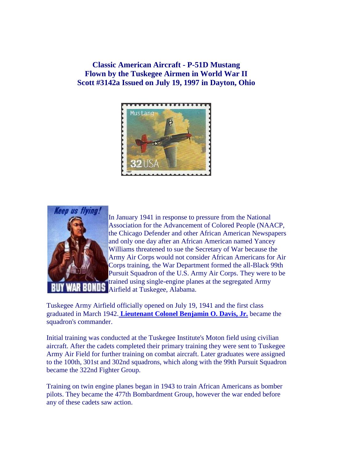**Classic American Aircraft - P-51D Mustang Flown by the Tuskegee Airmen in World War II Scott #3142a Issued on July 19, 1997 in Dayton, Ohio**





In January 1941 in response to pressure from the National Association for the Advancement of Colored People (NAACP, the Chicago Defender and other African American Newspapers and only one day after an African American named Yancey Williams threatened to sue the Secretary of War because the Army Air Corps would not consider African Americans for Air Corps training, the War Department formed the all-Black 99th Pursuit Squadron of the U.S. Army Air Corps. They were to be trained using single-engine planes at the segregated Army Airfield at Tuskegee, Alabama.

Tuskegee Army Airfield officially opened on July 19, 1941 and the first class graduated in March 1942. **[Lieutenant Colonel Benjamin O. Davis, Jr.](http://esperstamps.org/t70.htm)** became the squadron's commander.

Initial training was conducted at the Tuskegee Institute's Moton field using civilian aircraft. After the cadets completed their primary training they were sent to Tuskegee Army Air Field for further training on combat aircraft. Later graduates were assigned to the 100th, 301st and 302nd squadrons, which along with the 99th Pursuit Squadron became the 322nd Fighter Group.

Training on twin engine planes began in 1943 to train African Americans as bomber pilots. They became the 477th Bombardment Group, however the war ended before any of these cadets saw action.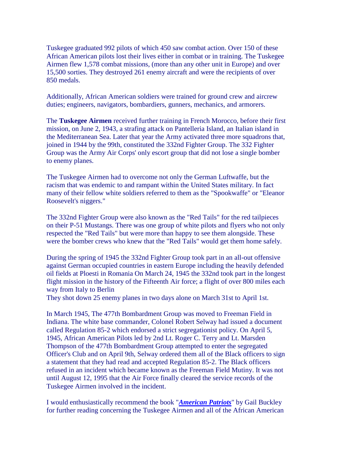Tuskegee graduated 992 pilots of which 450 saw combat action. Over 150 of these African American pilots lost their lives either in combat or in training. The Tuskegee Airmen flew 1,578 combat missions, (more than any other unit in Europe) and over 15,500 sorties. They destroyed 261 enemy aircraft and were the recipients of over 850 medals.

Additionally, African American soldiers were trained for ground crew and aircrew duties; engineers, navigators, bombardiers, gunners, mechanics, and armorers.

The **Tuskegee Airmen** received further training in French Morocco, before their first mission, on June 2, 1943, a strafing attack on Pantelleria Island, an Italian island in the Mediterranean Sea. Later that year the Army activated three more squadrons that, joined in 1944 by the 99th, constituted the 332nd Fighter Group. The 332 Fighter Group was the Army Air Corps' only escort group that did not lose a single bomber to enemy planes.

The Tuskegee Airmen had to overcome not only the German Luftwaffe, but the racism that was endemic to and rampant within the United States military. In fact many of their fellow white soldiers referred to them as the "Spookwaffe" or "Eleanor Roosevelt's niggers."

The 332nd Fighter Group were also known as the "Red Tails" for the red tailpieces on their P-51 Mustangs. There was one group of white pilots and flyers who not only respected the "Red Tails" but were more than happy to see them alongside. These were the bomber crews who knew that the "Red Tails" would get them home safely.

During the spring of 1945 the 332nd Fighter Group took part in an all-out offensive against German occupied countries in eastern Europe including the heavily defended oil fields at Ploesti in Romania On March 24, 1945 the 332nd took part in the longest flight mission in the history of the Fifteenth Air force; a flight of over 800 miles each way from Italy to Berlin

They shot down 25 enemy planes in two days alone on March 31st to April 1st.

In March 1945, The 477th Bombardment Group was moved to Freeman Field in Indiana. The white base commander, Colonel Robert Selway had issued a document called Regulation 85-2 which endorsed a strict segregationist policy. On April 5, 1945, African American Pilots led by 2nd Lt. Roger C. Terry and Lt. Marsden Thompson of the 477th Bombardment Group attempted to enter the segregated Officer's Club and on April 9th, Selway ordered them all of the Black officers to sign a statement that they had read and accepted Regulation 85-2. The Black officers refused in an incident which became known as the Freeman Field Mutiny. It was not until August 12, 1995 that the Air Force finally cleared the service records of the Tuskegee Airmen involved in the incident.

I would enthusiastically recommend the book "*[American Patriots](http://www.amazon.com/exec/obidos/ASIN/0375502793/qid=1048211395/sr=2-1/ref=sr_2_1/104-6144881-6888710)*" by Gail Buckley for further reading concerning the Tuskegee Airmen and all of the African American